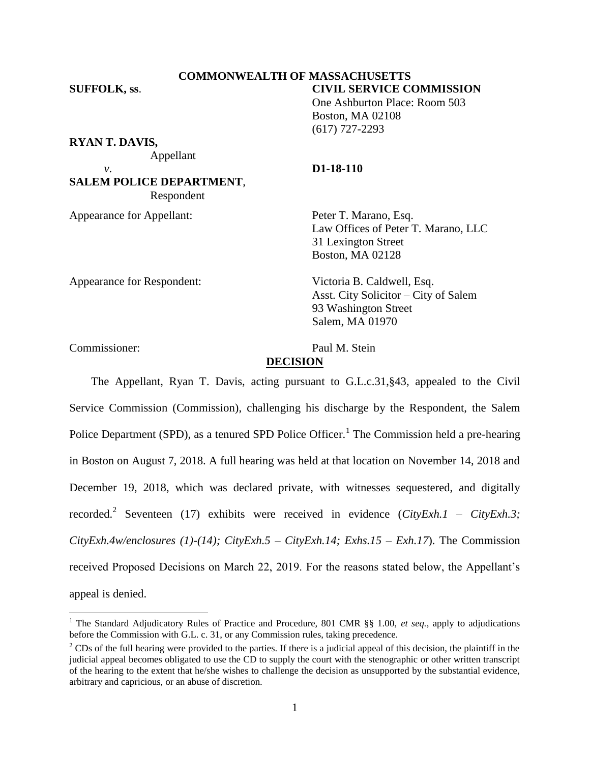#### **COMMONWEALTH OF MASSACHUSETTS SUFFOLK, ss**. **CIVIL SERVICE COMMISSION**

One Ashburton Place: Room 503 Boston, MA 02108 (617) 727-2293

**RYAN T. DAVIS,**

Appellant

## **SALEM POLICE DEPARTMENT**, Respondent

Appearance for Appellant: Peter T. Marano, Esq.

## *v*. **D1-18-110**

Law Offices of Peter T. Marano, LLC 31 Lexington Street Boston, MA 02128

Appearance for Respondent: Victoria B. Caldwell, Esq.

Asst. City Solicitor – City of Salem 93 Washington Street Salem, MA 01970

Commissioner: Paul M. Stein

l

# **DECISION**

The Appellant, Ryan T. Davis, acting pursuant to G.L.c.31,§43, appealed to the Civil Service Commission (Commission), challenging his discharge by the Respondent, the Salem Police Department (SPD), as a tenured SPD Police Officer.<sup>1</sup> The Commission held a pre-hearing in Boston on August 7, 2018. A full hearing was held at that location on November 14, 2018 and December 19, 2018, which was declared private, with witnesses sequestered, and digitally recorded.<sup>2</sup> Seventeen (17) exhibits were received in evidence (*CityExh.1 – CityExh.3; CityExh.4w/enclosures (1)-(14); CityExh.5 – CityExh.14; Exhs.15 – Exh.17*). The Commission received Proposed Decisions on March 22, 2019. For the reasons stated below, the Appellant's appeal is denied.

<sup>1</sup> The Standard Adjudicatory Rules of Practice and Procedure, 801 CMR §§ 1.00, *et seq.*, apply to adjudications before the Commission with G.L. c. 31, or any Commission rules, taking precedence.

 $2^2$  CDs of the full hearing were provided to the parties. If there is a judicial appeal of this decision, the plaintiff in the judicial appeal becomes obligated to use the CD to supply the court with the stenographic or other written transcript of the hearing to the extent that he/she wishes to challenge the decision as unsupported by the substantial evidence, arbitrary and capricious, or an abuse of discretion.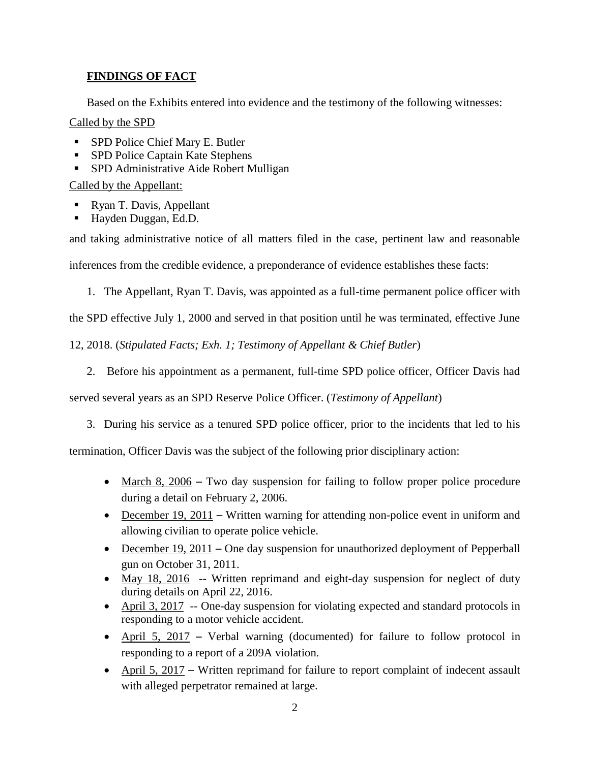## **FINDINGS OF FACT**

Based on the Exhibits entered into evidence and the testimony of the following witnesses:

## Called by the SPD

- **SPD Police Chief Mary E. Butler**
- **SPD Police Captain Kate Stephens**
- SPD Administrative Aide Robert Mulligan

## Called by the Appellant:

- Ryan T. Davis, Appellant
- Hayden Duggan, Ed.D.

and taking administrative notice of all matters filed in the case, pertinent law and reasonable

inferences from the credible evidence, a preponderance of evidence establishes these facts:

1. The Appellant, Ryan T. Davis, was appointed as a full-time permanent police officer with

the SPD effective July 1, 2000 and served in that position until he was terminated, effective June

12, 2018. (*Stipulated Facts; Exh. 1; Testimony of Appellant & Chief Butler*)

2. Before his appointment as a permanent, full-time SPD police officer, Officer Davis had

served several years as an SPD Reserve Police Officer. (*Testimony of Appellant*)

3. During his service as a tenured SPD police officer, prior to the incidents that led to his

termination, Officer Davis was the subject of the following prior disciplinary action:

- March 8, 2006 Two day suspension for failing to follow proper police procedure during a detail on February 2, 2006.
- December 19, 2011 Written warning for attending non-police event in uniform and allowing civilian to operate police vehicle.
- December  $19, 2011$  One day suspension for unauthorized deployment of Pepperball gun on October 31, 2011.
- May 18, 2016 -- Written reprimand and eight-day suspension for neglect of duty during details on April 22, 2016.
- April 3, 2017 -- One-day suspension for violating expected and standard protocols in responding to a motor vehicle accident.
- April 5, 2017 Verbal warning (documented) for failure to follow protocol in responding to a report of a 209A violation.
- April 5, 2017 Written reprimand for failure to report complaint of indecent assault with alleged perpetrator remained at large.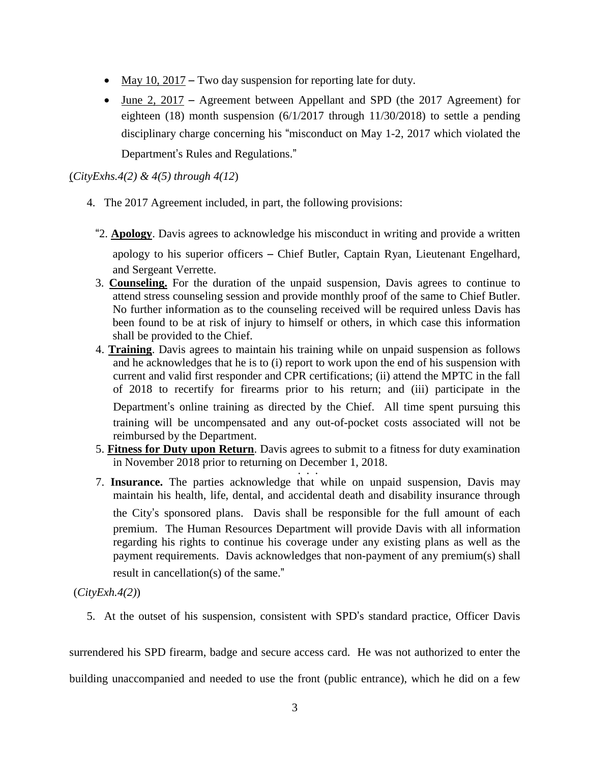- May 10, 2017 Two day suspension for reporting late for duty.
- June 2, 2017 Agreement between Appellant and SPD (the 2017 Agreement) for eighteen (18) month suspension (6/1/2017 through 11/30/2018) to settle a pending disciplinary charge concerning his "misconduct on May 1-2, 2017 which violated the Department's Rules and Regulations."

(*CityExhs.4(2) & 4(5) through 4(12*)

- 4. The 2017 Agreement included, in part, the following provisions:
	- "2. **Apology**. Davis agrees to acknowledge his misconduct in writing and provide a written apology to his superior officers – Chief Butler, Captain Ryan, Lieutenant Engelhard, and Sergeant Verrette.
	- 3. **Counseling.** For the duration of the unpaid suspension, Davis agrees to continue to attend stress counseling session and provide monthly proof of the same to Chief Butler. No further information as to the counseling received will be required unless Davis has been found to be at risk of injury to himself or others, in which case this information shall be provided to the Chief.
	- 4. **Training**. Davis agrees to maintain his training while on unpaid suspension as follows and he acknowledges that he is to (i) report to work upon the end of his suspension with current and valid first responder and CPR certifications; (ii) attend the MPTC in the fall of 2018 to recertify for firearms prior to his return; and (iii) participate in the Department's online training as directed by the Chief. All time spent pursuing this training will be uncompensated and any out-of-pocket costs associated will not be reimbursed by the Department.
	- 5. **Fitness for Duty upon Return**. Davis agrees to submit to a fitness for duty examination in November 2018 prior to returning on December 1, 2018.  $\frac{1}{2}$ .
	- 7. **Insurance.** The parties acknowledge that while on unpaid suspension, Davis may maintain his health, life, dental, and accidental death and disability insurance through the City's sponsored plans. Davis shall be responsible for the full amount of each premium. The Human Resources Department will provide Davis with all information regarding his rights to continue his coverage under any existing plans as well as the payment requirements. Davis acknowledges that non-payment of any premium(s) shall

result in cancellation(s) of the same."

(*CityExh.4(2)*)

5. At the outset of his suspension, consistent with SPD's standard practice, Officer Davis

surrendered his SPD firearm, badge and secure access card. He was not authorized to enter the

building unaccompanied and needed to use the front (public entrance), which he did on a few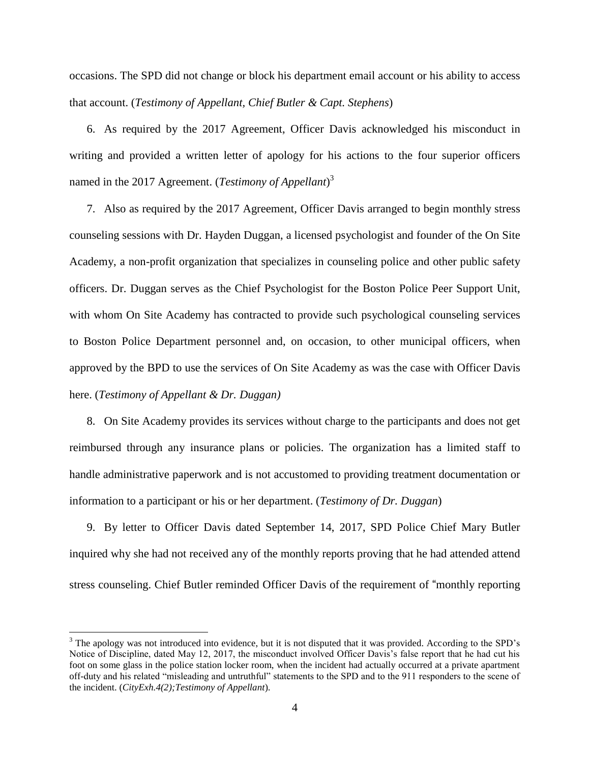occasions. The SPD did not change or block his department email account or his ability to access that account. (*Testimony of Appellant, Chief Butler & Capt. Stephens*)

6. As required by the 2017 Agreement, Officer Davis acknowledged his misconduct in writing and provided a written letter of apology for his actions to the four superior officers named in the 2017 Agreement. (*Testimony of Appellant*) 3

7. Also as required by the 2017 Agreement, Officer Davis arranged to begin monthly stress counseling sessions with Dr. Hayden Duggan, a licensed psychologist and founder of the On Site Academy, a non-profit organization that specializes in counseling police and other public safety officers. Dr. Duggan serves as the Chief Psychologist for the Boston Police Peer Support Unit, with whom On Site Academy has contracted to provide such psychological counseling services to Boston Police Department personnel and, on occasion, to other municipal officers, when approved by the BPD to use the services of On Site Academy as was the case with Officer Davis here. (*Testimony of Appellant & Dr. Duggan)*

8. On Site Academy provides its services without charge to the participants and does not get reimbursed through any insurance plans or policies. The organization has a limited staff to handle administrative paperwork and is not accustomed to providing treatment documentation or information to a participant or his or her department. (*Testimony of Dr. Duggan*)

9. By letter to Officer Davis dated September 14, 2017, SPD Police Chief Mary Butler inquired why she had not received any of the monthly reports proving that he had attended attend stress counseling. Chief Butler reminded Officer Davis of the requirement of "monthly reporting

 $\overline{a}$ 

<sup>&</sup>lt;sup>3</sup> The apology was not introduced into evidence, but it is not disputed that it was provided. According to the SPD's Notice of Discipline, dated May 12, 2017, the misconduct involved Officer Davis's false report that he had cut his foot on some glass in the police station locker room, when the incident had actually occurred at a private apartment off-duty and his related "misleading and untruthful" statements to the SPD and to the 911 responders to the scene of the incident. (*CityExh.4(2);Testimony of Appellant*).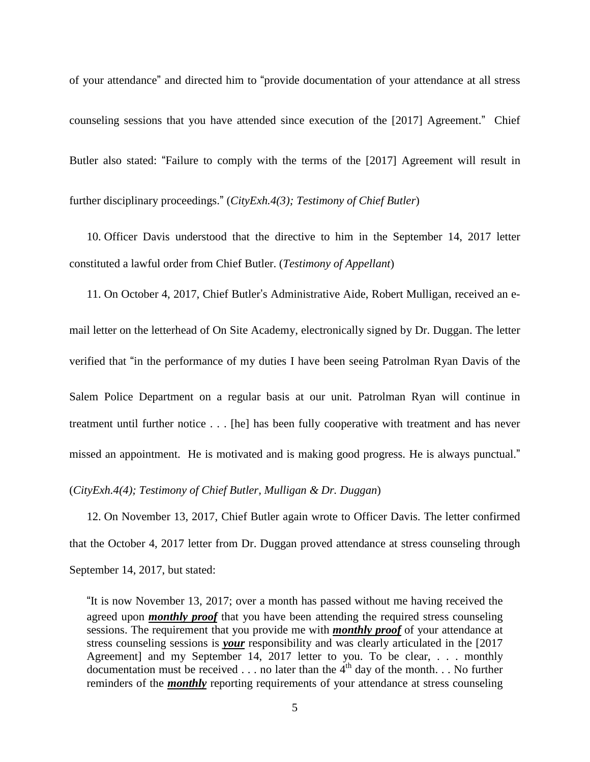of your attendance" and directed him to "provide documentation of your attendance at all stress counseling sessions that you have attended since execution of the [2017] Agreement." Chief Butler also stated: "Failure to comply with the terms of the [2017] Agreement will result in further disciplinary proceedings." (*CityExh.4(3); Testimony of Chief Butler*)

10. Officer Davis understood that the directive to him in the September 14, 2017 letter constituted a lawful order from Chief Butler. (*Testimony of Appellant*)

11. On October 4, 2017, Chief Butler's Administrative Aide, Robert Mulligan, received an email letter on the letterhead of On Site Academy, electronically signed by Dr. Duggan. The letter verified that "in the performance of my duties I have been seeing Patrolman Ryan Davis of the Salem Police Department on a regular basis at our unit. Patrolman Ryan will continue in treatment until further notice . . . [he] has been fully cooperative with treatment and has never missed an appointment. He is motivated and is making good progress. He is always punctual."

(*CityExh.4(4); Testimony of Chief Butler, Mulligan & Dr. Duggan*)

12. On November 13, 2017, Chief Butler again wrote to Officer Davis. The letter confirmed that the October 4, 2017 letter from Dr. Duggan proved attendance at stress counseling through September 14, 2017, but stated:

"It is now November 13, 2017; over a month has passed without me having received the agreed upon *monthly proof* that you have been attending the required stress counseling sessions. The requirement that you provide me with *monthly proof* of your attendance at stress counseling sessions is *your* responsibility and was clearly articulated in the [2017 Agreement] and my September 14, 2017 letter to you. To be clear, . . . monthly documentation must be received  $\dots$  no later than the 4<sup>th</sup> day of the month.  $\dots$  No further reminders of the *monthly* reporting requirements of your attendance at stress counseling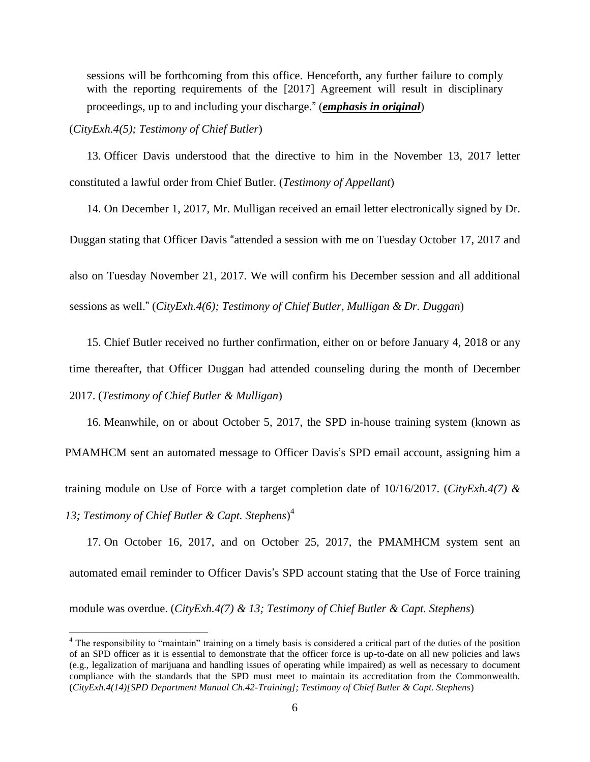sessions will be forthcoming from this office. Henceforth, any further failure to comply with the reporting requirements of the [2017] Agreement will result in disciplinary proceedings, up to and including your discharge." (*emphasis in original*)

### (*CityExh.4(5); Testimony of Chief Butler*)

13. Officer Davis understood that the directive to him in the November 13, 2017 letter constituted a lawful order from Chief Butler. (*Testimony of Appellant*)

14. On December 1, 2017, Mr. Mulligan received an email letter electronically signed by Dr. Duggan stating that Officer Davis "attended a session with me on Tuesday October 17, 2017 and also on Tuesday November 21, 2017. We will confirm his December session and all additional sessions as well." (*CityExh.4(6); Testimony of Chief Butler, Mulligan & Dr. Duggan*)

15. Chief Butler received no further confirmation, either on or before January 4, 2018 or any time thereafter, that Officer Duggan had attended counseling during the month of December 2017. (*Testimony of Chief Butler & Mulligan*)

16. Meanwhile, on or about October 5, 2017, the SPD in-house training system (known as PMAMHCM sent an automated message to Officer Davis's SPD email account, assigning him a training module on Use of Force with a target completion date of 10/16/2017. (*CityExh.4(7) &*

*13; Testimony of Chief Butler & Capt. Stephens*) 4

 $\overline{a}$ 

17. On October 16, 2017, and on October 25, 2017, the PMAMHCM system sent an automated email reminder to Officer Davis's SPD account stating that the Use of Force training module was overdue. (*CityExh.4(7) & 13; Testimony of Chief Butler & Capt. Stephens*)

<sup>&</sup>lt;sup>4</sup> The responsibility to "maintain" training on a timely basis is considered a critical part of the duties of the position of an SPD officer as it is essential to demonstrate that the officer force is up-to-date on all new policies and laws (e.g., legalization of marijuana and handling issues of operating while impaired) as well as necessary to document compliance with the standards that the SPD must meet to maintain its accreditation from the Commonwealth. (*CityExh.4(14)[SPD Department Manual Ch.42-Training]; Testimony of Chief Butler & Capt. Stephens*)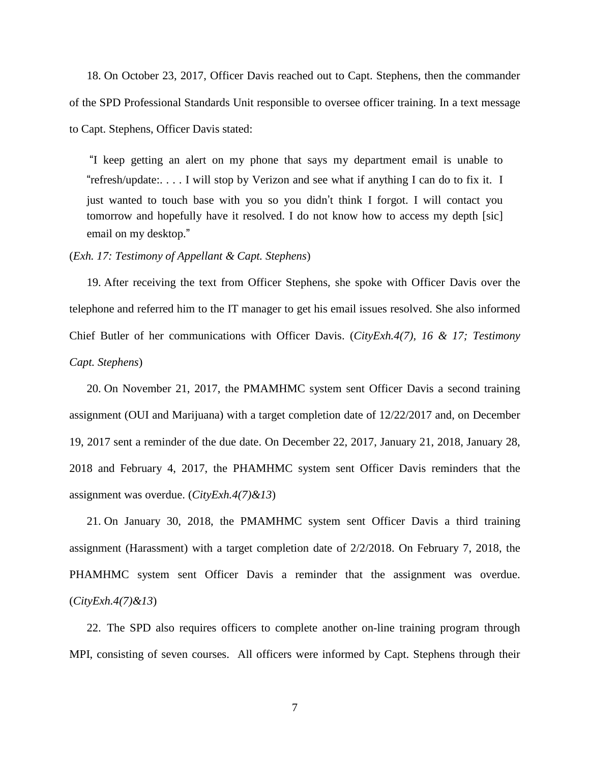18. On October 23, 2017, Officer Davis reached out to Capt. Stephens, then the commander of the SPD Professional Standards Unit responsible to oversee officer training. In a text message to Capt. Stephens, Officer Davis stated:

"I keep getting an alert on my phone that says my department email is unable to "refresh/update:. . . . I will stop by Verizon and see what if anything I can do to fix it. I just wanted to touch base with you so you didn't think I forgot. I will contact you tomorrow and hopefully have it resolved. I do not know how to access my depth [sic] email on my desktop."

#### (*Exh. 17: Testimony of Appellant & Capt. Stephens*)

19. After receiving the text from Officer Stephens, she spoke with Officer Davis over the telephone and referred him to the IT manager to get his email issues resolved. She also informed Chief Butler of her communications with Officer Davis. (*CityExh.4(7), 16 & 17; Testimony Capt. Stephens*)

20. On November 21, 2017, the PMAMHMC system sent Officer Davis a second training assignment (OUI and Marijuana) with a target completion date of 12/22/2017 and, on December 19, 2017 sent a reminder of the due date. On December 22, 2017, January 21, 2018, January 28, 2018 and February 4, 2017, the PHAMHMC system sent Officer Davis reminders that the assignment was overdue. (*CityExh.4(7)&13*)

21. On January 30, 2018, the PMAMHMC system sent Officer Davis a third training assignment (Harassment) with a target completion date of 2/2/2018. On February 7, 2018, the PHAMHMC system sent Officer Davis a reminder that the assignment was overdue. (*CityExh.4(7)&13*)

22. The SPD also requires officers to complete another on-line training program through MPI, consisting of seven courses. All officers were informed by Capt. Stephens through their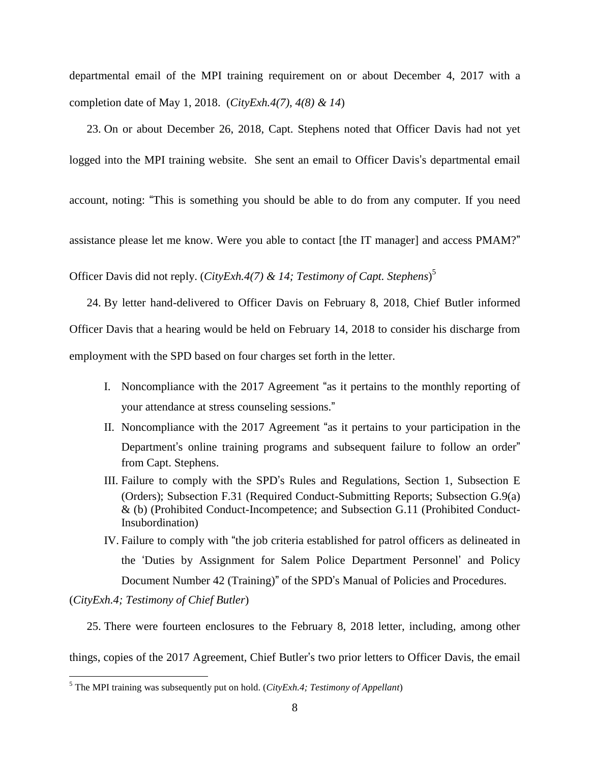departmental email of the MPI training requirement on or about December 4, 2017 with a completion date of May 1, 2018. (*CityExh.4(7), 4(8) & 14*)

23. On or about December 26, 2018, Capt. Stephens noted that Officer Davis had not yet logged into the MPI training website. She sent an email to Officer Davis's departmental email

account, noting: "This is something you should be able to do from any computer. If you need

assistance please let me know. Were you able to contact [the IT manager] and access PMAM?"

Officer Davis did not reply. (*CityExh.4(7) & 14; Testimony of Capt. Stephens*) 5

24. By letter hand-delivered to Officer Davis on February 8, 2018, Chief Butler informed Officer Davis that a hearing would be held on February 14, 2018 to consider his discharge from employment with the SPD based on four charges set forth in the letter.

- I. Noncompliance with the 2017 Agreement "as it pertains to the monthly reporting of your attendance at stress counseling sessions."
- II. Noncompliance with the 2017 Agreement "as it pertains to your participation in the Department's online training programs and subsequent failure to follow an order" from Capt. Stephens.
- III. Failure to comply with the SPD's Rules and Regulations, Section 1, Subsection E (Orders); Subsection F.31 (Required Conduct-Submitting Reports; Subsection G.9(a) & (b) (Prohibited Conduct-Incompetence; and Subsection G.11 (Prohibited Conduct-Insubordination)
- IV. Failure to comply with "the job criteria established for patrol officers as delineated in the 'Duties by Assignment for Salem Police Department Personnel' and Policy Document Number 42 (Training)" of the SPD's Manual of Policies and Procedures.

(*CityExh.4; Testimony of Chief Butler*)

 $\overline{\phantom{a}}$ 

25. There were fourteen enclosures to the February 8, 2018 letter, including, among other

things, copies of the 2017 Agreement, Chief Butler's two prior letters to Officer Davis, the email

<sup>5</sup> The MPI training was subsequently put on hold. (*CityExh.4; Testimony of Appellant*)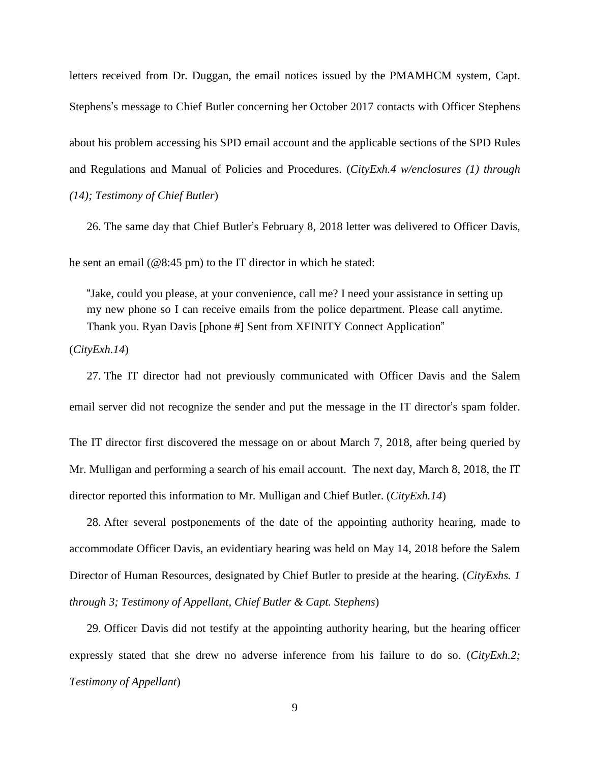letters received from Dr. Duggan, the email notices issued by the PMAMHCM system, Capt. Stephens's message to Chief Butler concerning her October 2017 contacts with Officer Stephens about his problem accessing his SPD email account and the applicable sections of the SPD Rules and Regulations and Manual of Policies and Procedures. (*CityExh.4 w/enclosures (1) through (14); Testimony of Chief Butler*)

26. The same day that Chief Butler's February 8, 2018 letter was delivered to Officer Davis,

he sent an email (@8:45 pm) to the IT director in which he stated:

"Jake, could you please, at your convenience, call me? I need your assistance in setting up my new phone so I can receive emails from the police department. Please call anytime. Thank you. Ryan Davis [phone #] Sent from XFINITY Connect Application"

(*CityExh.14*)

27. The IT director had not previously communicated with Officer Davis and the Salem email server did not recognize the sender and put the message in the IT director's spam folder.

The IT director first discovered the message on or about March 7, 2018, after being queried by Mr. Mulligan and performing a search of his email account. The next day, March 8, 2018, the IT director reported this information to Mr. Mulligan and Chief Butler. (*CityExh.14*)

28. After several postponements of the date of the appointing authority hearing, made to accommodate Officer Davis, an evidentiary hearing was held on May 14, 2018 before the Salem Director of Human Resources, designated by Chief Butler to preside at the hearing. (*CityExhs. 1 through 3; Testimony of Appellant, Chief Butler & Capt. Stephens*)

29. Officer Davis did not testify at the appointing authority hearing, but the hearing officer expressly stated that she drew no adverse inference from his failure to do so. (*CityExh.2; Testimony of Appellant*)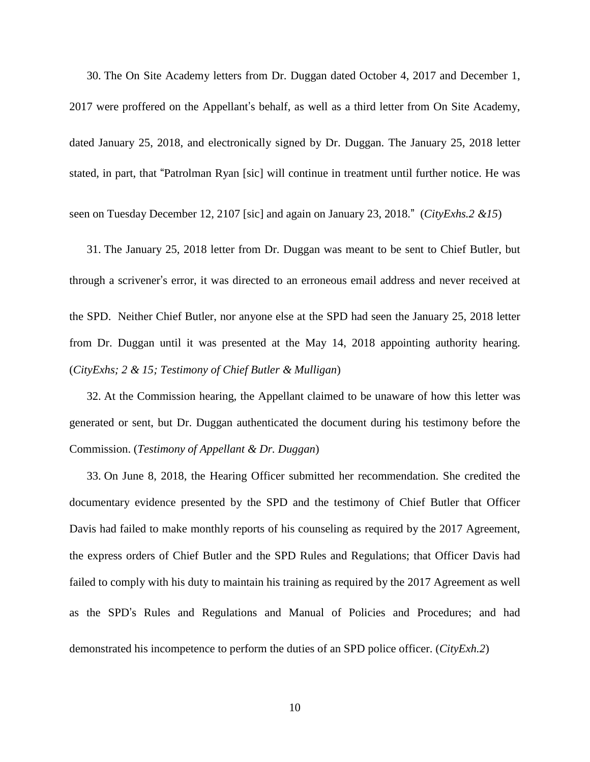30. The On Site Academy letters from Dr. Duggan dated October 4, 2017 and December 1, 2017 were proffered on the Appellant's behalf, as well as a third letter from On Site Academy, dated January 25, 2018, and electronically signed by Dr. Duggan. The January 25, 2018 letter stated, in part, that "Patrolman Ryan [sic] will continue in treatment until further notice. He was

seen on Tuesday December 12, 2107 [sic] and again on January 23, 2018." (*CityExhs.2 &15*)

31. The January 25, 2018 letter from Dr. Duggan was meant to be sent to Chief Butler, but through a scrivener's error, it was directed to an erroneous email address and never received at the SPD. Neither Chief Butler, nor anyone else at the SPD had seen the January 25, 2018 letter from Dr. Duggan until it was presented at the May 14, 2018 appointing authority hearing. (*CityExhs; 2 & 15; Testimony of Chief Butler & Mulligan*)

32. At the Commission hearing, the Appellant claimed to be unaware of how this letter was generated or sent, but Dr. Duggan authenticated the document during his testimony before the Commission. (*Testimony of Appellant & Dr. Duggan*)

33. On June 8, 2018, the Hearing Officer submitted her recommendation. She credited the documentary evidence presented by the SPD and the testimony of Chief Butler that Officer Davis had failed to make monthly reports of his counseling as required by the 2017 Agreement, the express orders of Chief Butler and the SPD Rules and Regulations; that Officer Davis had failed to comply with his duty to maintain his training as required by the 2017 Agreement as well as the SPD's Rules and Regulations and Manual of Policies and Procedures; and had demonstrated his incompetence to perform the duties of an SPD police officer. (*CityExh.2*)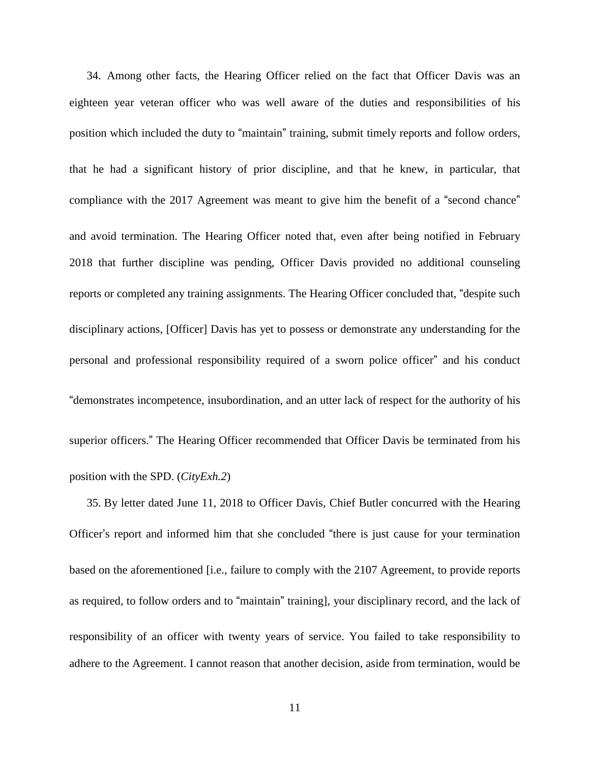34. Among other facts, the Hearing Officer relied on the fact that Officer Davis was an eighteen year veteran officer who was well aware of the duties and responsibilities of his position which included the duty to "maintain" training, submit timely reports and follow orders, that he had a significant history of prior discipline, and that he knew, in particular, that compliance with the 2017 Agreement was meant to give him the benefit of a "second chance" and avoid termination. The Hearing Officer noted that, even after being notified in February 2018 that further discipline was pending, Officer Davis provided no additional counseling reports or completed any training assignments. The Hearing Officer concluded that, "despite such disciplinary actions, [Officer] Davis has yet to possess or demonstrate any understanding for the personal and professional responsibility required of a sworn police officer" and his conduct "demonstrates incompetence, insubordination, and an utter lack of respect for the authority of his superior officers." The Hearing Officer recommended that Officer Davis be terminated from his position with the SPD. (*CityExh.2*)

35. By letter dated June 11, 2018 to Officer Davis, Chief Butler concurred with the Hearing Officer's report and informed him that she concluded "there is just cause for your termination based on the aforementioned [i.e., failure to comply with the 2107 Agreement, to provide reports as required, to follow orders and to "maintain" training], your disciplinary record, and the lack of responsibility of an officer with twenty years of service. You failed to take responsibility to adhere to the Agreement. I cannot reason that another decision, aside from termination, would be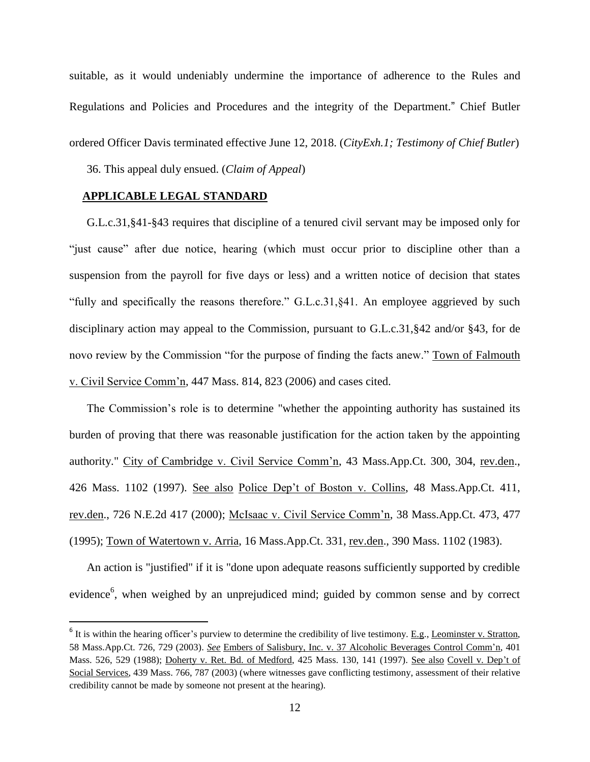suitable, as it would undeniably undermine the importance of adherence to the Rules and Regulations and Policies and Procedures and the integrity of the Department." Chief Butler ordered Officer Davis terminated effective June 12, 2018. (*CityExh.1; Testimony of Chief Butler*)

36. This appeal duly ensued. (*Claim of Appeal*)

### **APPLICABLE LEGAL STANDARD**

 $\overline{\phantom{a}}$ 

G.L.c.31,§41-§43 requires that discipline of a tenured civil servant may be imposed only for "just cause" after due notice, hearing (which must occur prior to discipline other than a suspension from the payroll for five days or less) and a written notice of decision that states "fully and specifically the reasons therefore." G.L.c.31,§41. An employee aggrieved by such disciplinary action may appeal to the Commission, pursuant to G.L.c.31,§42 and/or §43, for de novo review by the Commission "for the purpose of finding the facts anew." Town of Falmouth v. Civil Service Comm'n, 447 Mass. 814, 823 (2006) and cases cited.

The Commission's role is to determine "whether the appointing authority has sustained its burden of proving that there was reasonable justification for the action taken by the appointing authority." City of Cambridge v. Civil Service Comm'n, 43 Mass.App.Ct. 300, 304, rev.den., 426 Mass. 1102 (1997). See also Police Dep't of Boston v. Collins, 48 Mass.App.Ct. 411, rev.den., 726 N.E.2d 417 (2000); McIsaac v. Civil Service Comm'n, 38 Mass.App.Ct. 473, 477 (1995); Town of Watertown v. Arria, 16 Mass.App.Ct. 331, rev.den., 390 Mass. 1102 (1983).

An action is "justified" if it is "done upon adequate reasons sufficiently supported by credible evidence<sup>6</sup>, when weighed by an unprejudiced mind; guided by common sense and by correct

 $<sup>6</sup>$  It is within the hearing officer's purview to determine the credibility of live testimony. <u>E.g</u>., Leominster v. Stratton,</sup> 58 Mass.App.Ct. 726, 729 (2003). *See* Embers of Salisbury, Inc. v. 37 Alcoholic Beverages Control Comm'n, 401 Mass. 526, 529 (1988); Doherty v. Ret. Bd. of Medford, 425 Mass. 130, 141 (1997). See also Covell v. Dep't of Social Services, 439 Mass. 766, 787 (2003) (where witnesses gave conflicting testimony, assessment of their relative credibility cannot be made by someone not present at the hearing).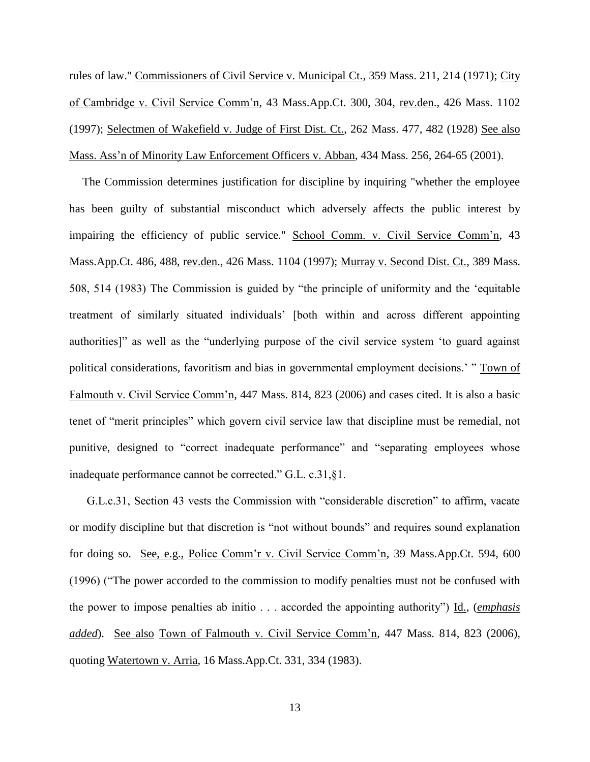rules of law." Commissioners of Civil Service v. Municipal Ct., 359 Mass. 211, 214 (1971); City of Cambridge v. Civil Service Comm'n, 43 Mass.App.Ct. 300, 304, rev.den., 426 Mass. 1102 (1997); Selectmen of Wakefield v. Judge of First Dist. Ct., 262 Mass. 477, 482 (1928) See also Mass. Ass'n of Minority Law Enforcement Officers v. Abban, 434 Mass. 256, 264-65 (2001).

The Commission determines justification for discipline by inquiring "whether the employee has been guilty of substantial misconduct which adversely affects the public interest by impairing the efficiency of public service." School Comm. v. Civil Service Comm'n, 43 Mass.App.Ct. 486, 488, rev.den., 426 Mass. 1104 (1997); Murray v. Second Dist. Ct., 389 Mass. 508, 514 (1983) The Commission is guided by "the principle of uniformity and the 'equitable treatment of similarly situated individuals' [both within and across different appointing authorities]" as well as the "underlying purpose of the civil service system 'to guard against political considerations, favoritism and bias in governmental employment decisions.' " Town of Falmouth v. Civil Service Comm'n, 447 Mass. 814, 823 (2006) and cases cited. It is also a basic tenet of "merit principles" which govern civil service law that discipline must be remedial, not punitive, designed to "correct inadequate performance" and "separating employees whose inadequate performance cannot be corrected." G.L. c.31,§1.

G.L.c.31, Section 43 vests the Commission with "considerable discretion" to affirm, vacate or modify discipline but that discretion is "not without bounds" and requires sound explanation for doing so. See, e.g., Police Comm'r v. Civil Service Comm'n, 39 Mass.App.Ct. 594, 600 (1996) ("The power accorded to the commission to modify penalties must not be confused with the power to impose penalties ab initio . . . accorded the appointing authority") Id., (*emphasis added*). See also Town of Falmouth v. Civil Service Comm'n, 447 Mass. 814, 823 (2006), quoting Watertown v. Arria, 16 Mass.App.Ct. 331, 334 (1983).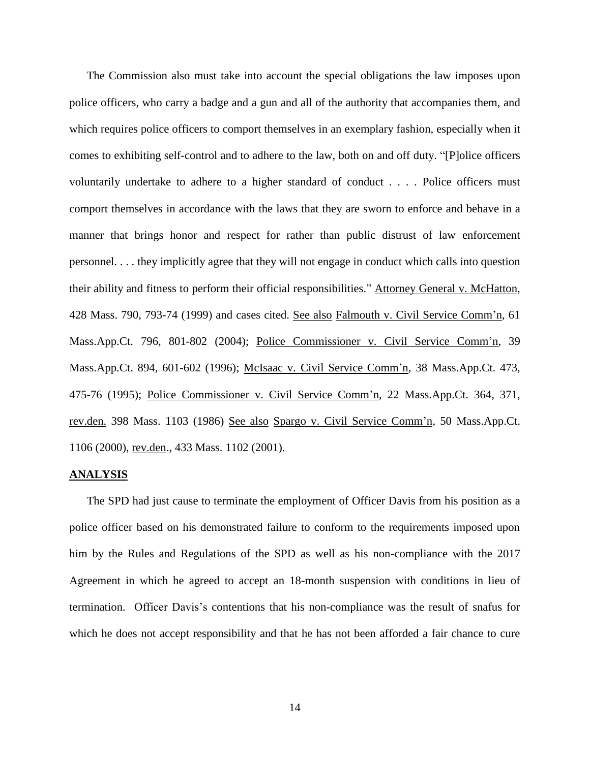The Commission also must take into account the special obligations the law imposes upon police officers, who carry a badge and a gun and all of the authority that accompanies them, and which requires police officers to comport themselves in an exemplary fashion, especially when it comes to exhibiting self-control and to adhere to the law, both on and off duty. "[P]olice officers voluntarily undertake to adhere to a higher standard of conduct . . . . Police officers must comport themselves in accordance with the laws that they are sworn to enforce and behave in a manner that brings honor and respect for rather than public distrust of law enforcement personnel. . . . they implicitly agree that they will not engage in conduct which calls into question their ability and fitness to perform their official responsibilities." Attorney General v. McHatton, 428 Mass. 790, 793-74 (1999) and cases cited. See also Falmouth v. Civil Service Comm'n, 61 Mass.App.Ct. 796, 801-802 (2004); Police Commissioner v. Civil Service Comm'n, 39 Mass.App.Ct. 894, 601-602 (1996); McIsaac v. Civil Service Comm'n, 38 Mass.App.Ct. 473, 475-76 (1995); Police Commissioner v. Civil Service Comm'n, 22 Mass.App.Ct. 364, 371, rev.den. 398 Mass. 1103 (1986) See also Spargo v. Civil Service Comm'n, 50 Mass.App.Ct. 1106 (2000), rev.den., 433 Mass. 1102 (2001).

#### **ANALYSIS**

The SPD had just cause to terminate the employment of Officer Davis from his position as a police officer based on his demonstrated failure to conform to the requirements imposed upon him by the Rules and Regulations of the SPD as well as his non-compliance with the 2017 Agreement in which he agreed to accept an 18-month suspension with conditions in lieu of termination. Officer Davis's contentions that his non-compliance was the result of snafus for which he does not accept responsibility and that he has not been afforded a fair chance to cure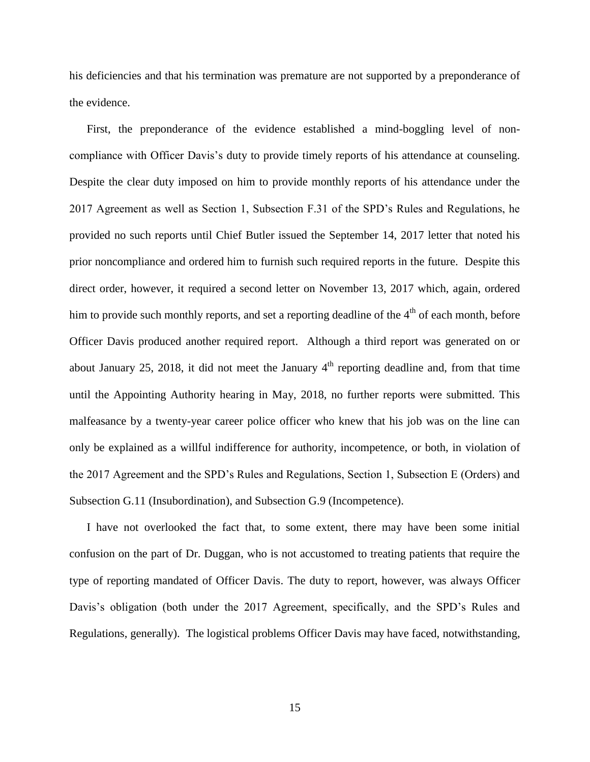his deficiencies and that his termination was premature are not supported by a preponderance of the evidence.

First, the preponderance of the evidence established a mind-boggling level of noncompliance with Officer Davis's duty to provide timely reports of his attendance at counseling. Despite the clear duty imposed on him to provide monthly reports of his attendance under the 2017 Agreement as well as Section 1, Subsection F.31 of the SPD's Rules and Regulations, he provided no such reports until Chief Butler issued the September 14, 2017 letter that noted his prior noncompliance and ordered him to furnish such required reports in the future. Despite this direct order, however, it required a second letter on November 13, 2017 which, again, ordered him to provide such monthly reports, and set a reporting deadline of the  $4<sup>th</sup>$  of each month, before Officer Davis produced another required report. Although a third report was generated on or about January 25, 2018, it did not meet the January  $4<sup>th</sup>$  reporting deadline and, from that time until the Appointing Authority hearing in May, 2018, no further reports were submitted. This malfeasance by a twenty-year career police officer who knew that his job was on the line can only be explained as a willful indifference for authority, incompetence, or both, in violation of the 2017 Agreement and the SPD's Rules and Regulations, Section 1, Subsection E (Orders) and Subsection G.11 (Insubordination), and Subsection G.9 (Incompetence).

I have not overlooked the fact that, to some extent, there may have been some initial confusion on the part of Dr. Duggan, who is not accustomed to treating patients that require the type of reporting mandated of Officer Davis. The duty to report, however, was always Officer Davis's obligation (both under the 2017 Agreement, specifically, and the SPD's Rules and Regulations, generally). The logistical problems Officer Davis may have faced, notwithstanding,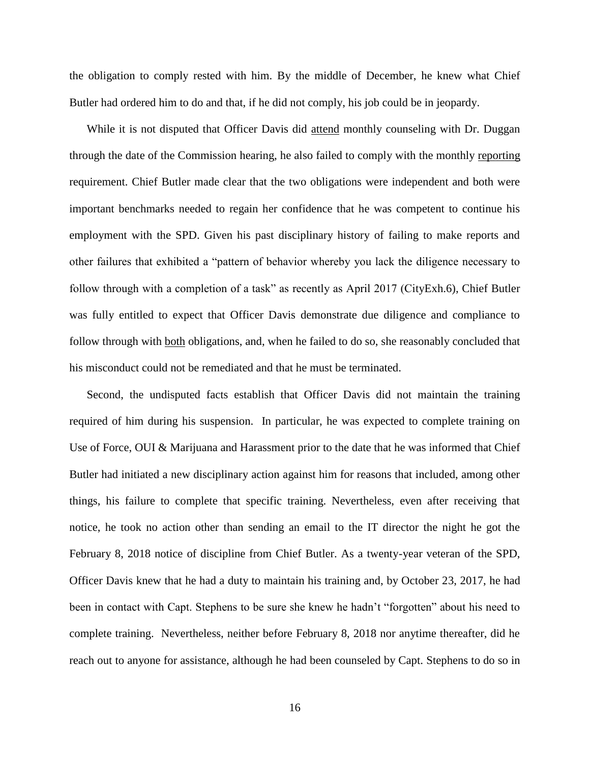the obligation to comply rested with him. By the middle of December, he knew what Chief Butler had ordered him to do and that, if he did not comply, his job could be in jeopardy.

While it is not disputed that Officer Davis did attend monthly counseling with Dr. Duggan through the date of the Commission hearing, he also failed to comply with the monthly reporting requirement. Chief Butler made clear that the two obligations were independent and both were important benchmarks needed to regain her confidence that he was competent to continue his employment with the SPD. Given his past disciplinary history of failing to make reports and other failures that exhibited a "pattern of behavior whereby you lack the diligence necessary to follow through with a completion of a task" as recently as April 2017 (CityExh.6), Chief Butler was fully entitled to expect that Officer Davis demonstrate due diligence and compliance to follow through with both obligations, and, when he failed to do so, she reasonably concluded that his misconduct could not be remediated and that he must be terminated.

Second, the undisputed facts establish that Officer Davis did not maintain the training required of him during his suspension. In particular, he was expected to complete training on Use of Force, OUI & Marijuana and Harassment prior to the date that he was informed that Chief Butler had initiated a new disciplinary action against him for reasons that included, among other things, his failure to complete that specific training. Nevertheless, even after receiving that notice, he took no action other than sending an email to the IT director the night he got the February 8, 2018 notice of discipline from Chief Butler. As a twenty-year veteran of the SPD, Officer Davis knew that he had a duty to maintain his training and, by October 23, 2017, he had been in contact with Capt. Stephens to be sure she knew he hadn't "forgotten" about his need to complete training. Nevertheless, neither before February 8, 2018 nor anytime thereafter, did he reach out to anyone for assistance, although he had been counseled by Capt. Stephens to do so in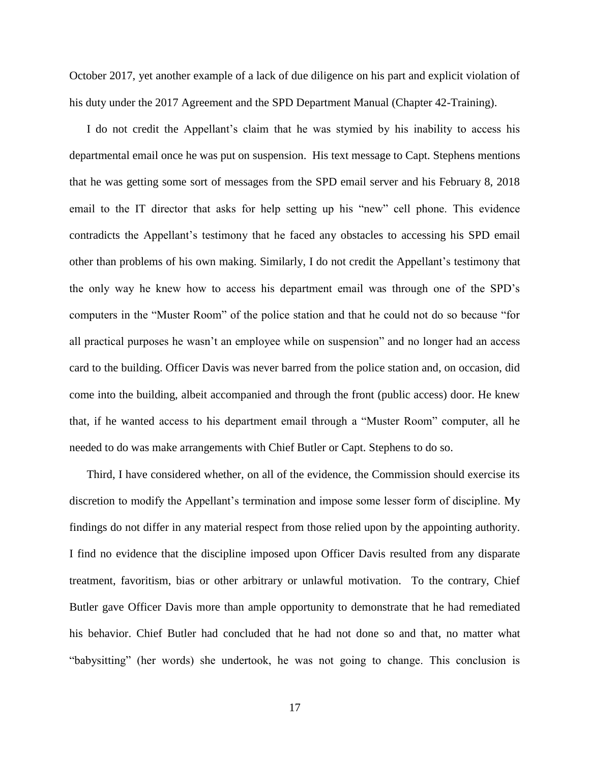October 2017, yet another example of a lack of due diligence on his part and explicit violation of his duty under the 2017 Agreement and the SPD Department Manual (Chapter 42-Training).

I do not credit the Appellant's claim that he was stymied by his inability to access his departmental email once he was put on suspension. His text message to Capt. Stephens mentions that he was getting some sort of messages from the SPD email server and his February 8, 2018 email to the IT director that asks for help setting up his "new" cell phone. This evidence contradicts the Appellant's testimony that he faced any obstacles to accessing his SPD email other than problems of his own making. Similarly, I do not credit the Appellant's testimony that the only way he knew how to access his department email was through one of the SPD's computers in the "Muster Room" of the police station and that he could not do so because "for all practical purposes he wasn't an employee while on suspension" and no longer had an access card to the building. Officer Davis was never barred from the police station and, on occasion, did come into the building, albeit accompanied and through the front (public access) door. He knew that, if he wanted access to his department email through a "Muster Room" computer, all he needed to do was make arrangements with Chief Butler or Capt. Stephens to do so.

Third, I have considered whether, on all of the evidence, the Commission should exercise its discretion to modify the Appellant's termination and impose some lesser form of discipline. My findings do not differ in any material respect from those relied upon by the appointing authority. I find no evidence that the discipline imposed upon Officer Davis resulted from any disparate treatment, favoritism, bias or other arbitrary or unlawful motivation. To the contrary, Chief Butler gave Officer Davis more than ample opportunity to demonstrate that he had remediated his behavior. Chief Butler had concluded that he had not done so and that, no matter what "babysitting" (her words) she undertook, he was not going to change. This conclusion is